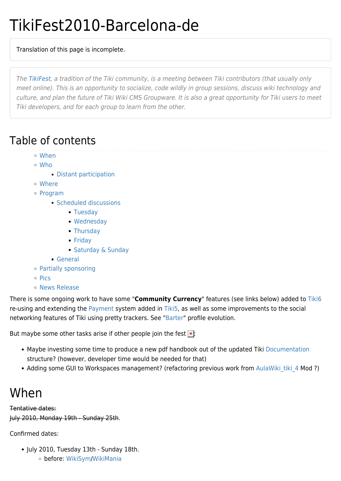# TikiFest2010-Barcelona-de

Translation of this page is incomplete.

The [TikiFest](https://tiki.org/TikiFest), a tradition of the Tiki community, is a meeting between Tiki contributors (that usually only meet online). This is an opportunity to socialize, code wildly in group sessions, discuss wiki technology and culture, and plan the future of Tiki Wiki CMS Groupware. It is also a great opportunity for Tiki users to meet Tiki developers, and for each group to learn from the other.

### Table of contents

- [When](#page--1-0)
- [Who](#page--1-0)
	- [Distant participation](#page--1-0)
- [Where](#page--1-0)
- [Program](#page--1-0)
	- [Scheduled discussions](#page--1-0)
		- [Tuesday](#page--1-0)
		- [Wednesday](#page--1-0)
		- [Thursday](#page--1-0)
		- [Friday](#page--1-0)
		- [Saturday & Sunday](#page--1-0)
	- [General](#page--1-0)
- [Partially sponsoring](#page--1-0)
- o [Pics](#page--1-0)
- [News Release](#page--1-0)

There is some ongoing work to have some "**Community Currency**" features (see links below) added to [Tiki6](http://dev.tiki.org/Tiki6) re-using and extending the [Payment](http://doc.tiki.org/Payment) system added in [Tiki5](http://doc.tiki.org/Tiki5), as well as some improvements to the social networking features of Tiki using pretty trackers. See ["Barter](http://profiles.tiki.org/Barter)" profile evolution.

But maybe some other tasks arise if other people join the fest  $\mathbf{x}$ :

- Maybe investing some time to produce a new pdf handbook out of the updated Tiki [Documentation](http://doc.tiki.org/Documentation) structure? (however, developer time would be needed for that)
- Adding some GUI to Workspaces management? (refactoring previous work from AulaWiki tiki 4 Mod ?)

### When

Tentative dates: July 2010, Monday 19th - Sunday 25th.

Confirmed dates:

- July 2010, Tuesday 13th Sunday 18th.
	- before: [WikiSym](http://www.wikisym.org/ws2010/)/[WikiMania](http://wikimania2010.wikimedia.org/)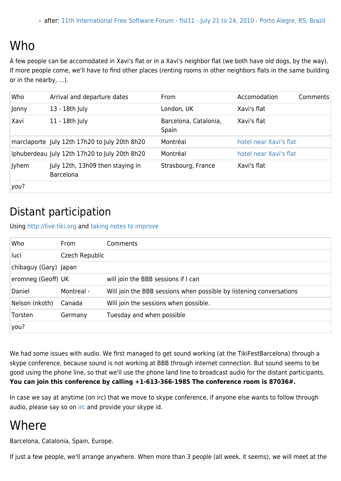### Who

A few people can be accomodated in Xavi's flat or in a Xavi's neighbor flat (we both have old dogs, by the way). If more people come, we'll have to find other places (renting rooms in other neighbors flats in the same building or in the nearby, ...).

| Who   | Arrival and departure dates                          | From                           | Accomodation           | Comments |
|-------|------------------------------------------------------|--------------------------------|------------------------|----------|
| Jonny | 13 - 18th July                                       | London, UK                     | Xavi's flat            |          |
| Xavi  | 11 - 18th July                                       | Barcelona, Catalonia,<br>Spain | Xavi's flat            |          |
|       | marclaporte July 12th 17h20 to July 20th 8h20        | Montréal                       | hotel near Xavi's flat |          |
|       | Iphuberdeau July 12th 17h20 to July 20th 8h20        | Montréal                       | hotel near Xavi's flat |          |
| Jyhem | July 12th, 13h09 then staying in<br><b>Barcelona</b> | Strasbourg, France             | Xavi's flat            |          |
| you?  |                                                      |                                |                        |          |

### Distant participation

Using <http://live.tiki.org>and [taking notes to improve](http://code.google.com/p/bigbluebutton/wiki/RemoteParticipationToCommunityEvents)

| Who                   | <b>From</b>    | Comments                                                            |  |
|-----------------------|----------------|---------------------------------------------------------------------|--|
| luci                  | Czech Republic |                                                                     |  |
| chibaguy (Gary) Japan |                |                                                                     |  |
| eromneg (Geoff) UK    |                | will join the BBB sessions if I can                                 |  |
| Daniel                | Montreal -     | Will join the BBB sessions when possible by listening conversations |  |
| Nelson (nkoth)        | Canada         | Will join the sessions when possible.                               |  |
| Torsten               | Germany        | Tuesday and when possible                                           |  |
| you?                  |                |                                                                     |  |

We had some issues with audio. We first managed to get sound working (at the TikiFestBarcelona) through a skype conference, because sound is not working at BBB through internet connection. But sound seems to be good using the phone line, so that we'll use the phone land line to broadcast audio for the distant participants. **You can join this conference by calling +1-613-366-1985 The conference room is 87036#.**

In case we say at anytime (on irc) that we move to skype conference, if anyone else wants to follow through audio, please say so on [irc](http://tikiwiki.org/Irc) and provide your skype id.

### Where

Barcelona, Catalonia, Spain, Europe.

If just a few people, we'll arrange anywhere. When more than 3 people (all week, it seems), we will meet at the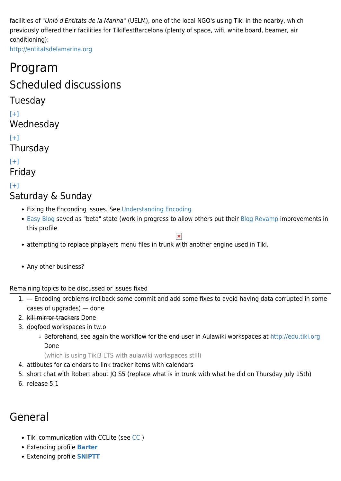facilities of "Unió d'Entitats de la Marina" (UELM), one of the local NGO's using Tiki in the nearby, which previously offered their facilities for TikiFestBarcelona (plenty of space, wifi, white board, beamer, air conditioning):

<http://entitatsdelamarina.org>

### Program

### Scheduled discussions

#### Tuesday

 $[+]$ 

Wednesday

#### $[+]$

Thursday

 $[+]$ Friday

#### $[+]$ Saturday & Sunday

- Fixing the Enconding issues. See [Understanding Encoding](http://doc.tiki.org/Understanding%20Encoding)
- [Easy Blog](http://profiles.tiki.org/Easy%20Blog) saved as "beta" state (work in progress to allow others put their [Blog Revamp](http://dev.tiki.org/Blog%20Revamp) improvements in this profile

 $\pmb{\times}$ 

- attempting to replace phplayers menu files in trunk with another engine used in Tiki.
- Any other business?

#### Remaining topics to be discussed or issues fixed

- 1. Encoding problems (rollback some commit and add some fixes to avoid having data corrupted in some cases of upgrades) — done
- 2. kill mirror trackers Done
- 3. dogfood workspaces in tw.o
	- o Beforehand, see again the workflow for the end user in Aulawiki workspaces at<http://edu.tiki.org> Done

(which is using Tiki3 LTS with aulawiki workspaces still)

- 4. attibutes for calendars to link tracker items with calendars
- 5. short chat with Robert about JQ S5 (replace what is in trunk with what he did on Thursday July 15th)
- 6. release 5.1

### General

- Tiki communication with CCLite (see [CC](http://dev.tiki.org/CC) )
- Extending profile **[Barter](http://profiles.tiki.org/Barter)**
- Extending profile **[SNiPTT](http://profiles.tiki.org/SNiPTT)**